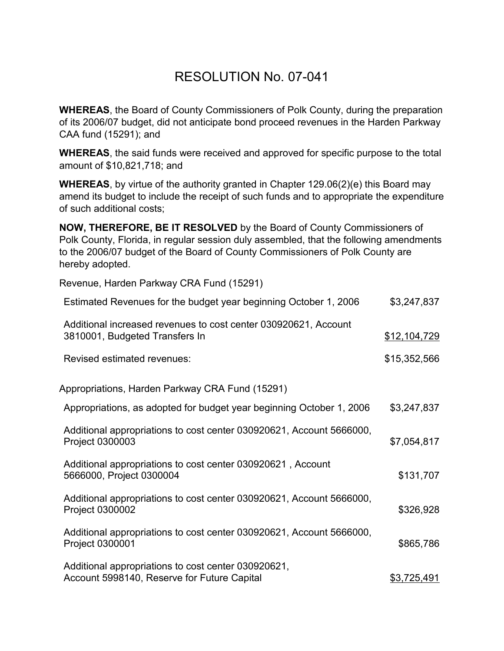## RESOLUTION No. 07-041

**WHEREAS**, the Board of County Commissioners of Polk County, during the preparation of its 2006/07 budget, did not anticipate bond proceed revenues in the Harden Parkway CAA fund (15291); and

**WHEREAS**, the said funds were received and approved for specific purpose to the total amount of \$10,821,718; and

**WHEREAS**, by virtue of the authority granted in Chapter 129.06(2)(e) this Board may amend its budget to include the receipt of such funds and to appropriate the expenditure of such additional costs;

**NOW, THEREFORE, BE IT RESOLVED** by the Board of County Commissioners of Polk County, Florida, in regular session duly assembled, that the following amendments to the 2006/07 budget of the Board of County Commissioners of Polk County are hereby adopted.

Revenue, Harden Parkway CRA Fund (15291)

| Estimated Revenues for the budget year beginning October 1, 2006                                   | \$3,247,837  |
|----------------------------------------------------------------------------------------------------|--------------|
| Additional increased revenues to cost center 030920621, Account<br>3810001, Budgeted Transfers In  | \$12,104,729 |
| Revised estimated revenues:                                                                        | \$15,352,566 |
| Appropriations, Harden Parkway CRA Fund (15291)                                                    |              |
| Appropriations, as adopted for budget year beginning October 1, 2006                               | \$3,247,837  |
| Additional appropriations to cost center 030920621, Account 5666000,<br>Project 0300003            | \$7,054,817  |
| Additional appropriations to cost center 030920621, Account<br>5666000, Project 0300004            | \$131,707    |
| Additional appropriations to cost center 030920621, Account 5666000,<br>Project 0300002            | \$326,928    |
| Additional appropriations to cost center 030920621, Account 5666000,<br>Project 0300001            | \$865,786    |
| Additional appropriations to cost center 030920621,<br>Account 5998140, Reserve for Future Capital | \$3,725,491  |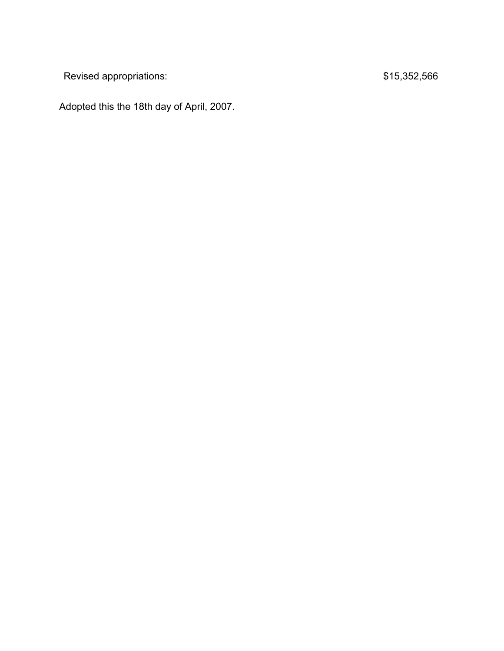Revised appropriations:  $$15,352,566$ 

Adopted this the 18th day of April, 2007.